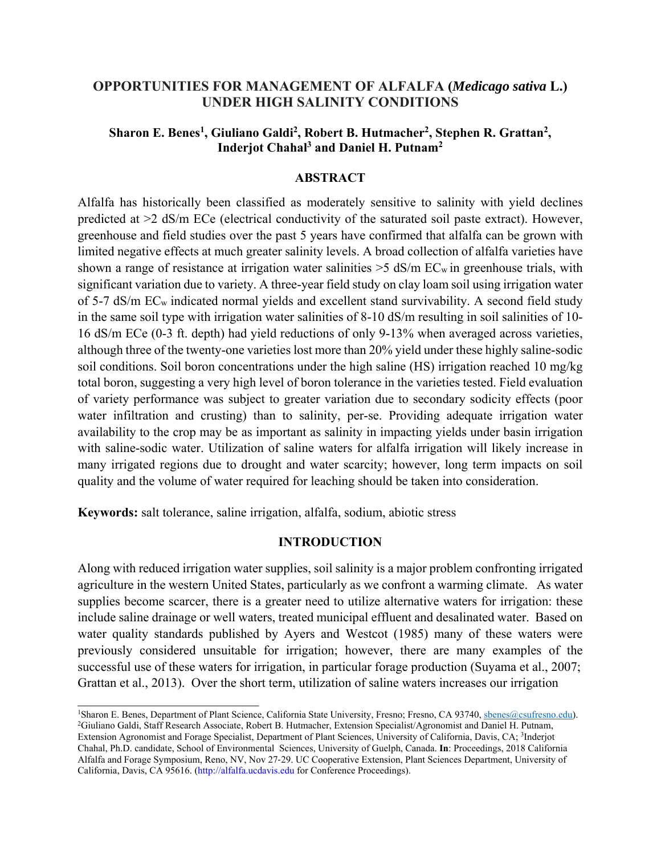# **OPPORTUNITIES FOR MANAGEMENT OF ALFALFA (***Medicago sativa* **L.) UNDER HIGH SALINITY CONDITIONS**

# Sharon E. Benes<sup>1</sup>, Giuliano Galdi<sup>2</sup>, Robert B. Hutmacher<sup>2</sup>, Stephen R. Grattan<sup>2</sup>, **Inderjot Chahal3 and Daniel H. Putnam2**

## **ABSTRACT**

Alfalfa has historically been classified as moderately sensitive to salinity with yield declines predicted at >2 dS/m ECe (electrical conductivity of the saturated soil paste extract). However, greenhouse and field studies over the past 5 years have confirmed that alfalfa can be grown with limited negative effects at much greater salinity levels. A broad collection of alfalfa varieties have shown a range of resistance at irrigation water salinities  $>$  5 dS/m EC<sub>w</sub> in greenhouse trials, with significant variation due to variety. A three-year field study on clay loam soil using irrigation water of 5-7 dS/m ECw indicated normal yields and excellent stand survivability. A second field study in the same soil type with irrigation water salinities of 8-10 dS/m resulting in soil salinities of 10- 16 dS/m ECe (0-3 ft. depth) had yield reductions of only 9-13% when averaged across varieties, although three of the twenty-one varieties lost more than 20% yield under these highly saline-sodic soil conditions. Soil boron concentrations under the high saline (HS) irrigation reached 10 mg/kg total boron, suggesting a very high level of boron tolerance in the varieties tested. Field evaluation of variety performance was subject to greater variation due to secondary sodicity effects (poor water infiltration and crusting) than to salinity, per-se. Providing adequate irrigation water availability to the crop may be as important as salinity in impacting yields under basin irrigation with saline-sodic water. Utilization of saline waters for alfalfa irrigation will likely increase in many irrigated regions due to drought and water scarcity; however, long term impacts on soil quality and the volume of water required for leaching should be taken into consideration.

**Keywords:** salt tolerance, saline irrigation, alfalfa, sodium, abiotic stress

## **INTRODUCTION**

Along with reduced irrigation water supplies, soil salinity is a major problem confronting irrigated agriculture in the western United States, particularly as we confront a warming climate. As water supplies become scarcer, there is a greater need to utilize alternative waters for irrigation: these include saline drainage or well waters, treated municipal effluent and desalinated water. Based on water quality standards published by Ayers and Westcot (1985) many of these waters were previously considered unsuitable for irrigation; however, there are many examples of the successful use of these waters for irrigation, in particular forage production (Suyama et al., 2007; Grattan et al., 2013). Over the short term, utilization of saline waters increases our irrigation

<sup>&</sup>lt;sup>1</sup>Sharon E. Benes, Department of Plant Science, California State University, Fresno; Fresno, CA 93740, sbenes@csufresno.edu).<br><sup>2</sup>Giuliano Galdi, Staff Research Associate, Robert B. Hutmacher, Extension Specialist/Agronomi Extension Agronomist and Forage Specialist, Department of Plant Sciences, University of California, Davis, CA; 3Inderjot Chahal, Ph.D. candidate, School of Environmental Sciences, University of Guelph, Canada. **In**: Proceedings, 2018 California Alfalfa and Forage Symposium, Reno, NV, Nov 27-29. UC Cooperative Extension, Plant Sciences Department, University of California, Davis, CA 95616. (http://alfalfa.ucdavis.edu for Conference Proceedings).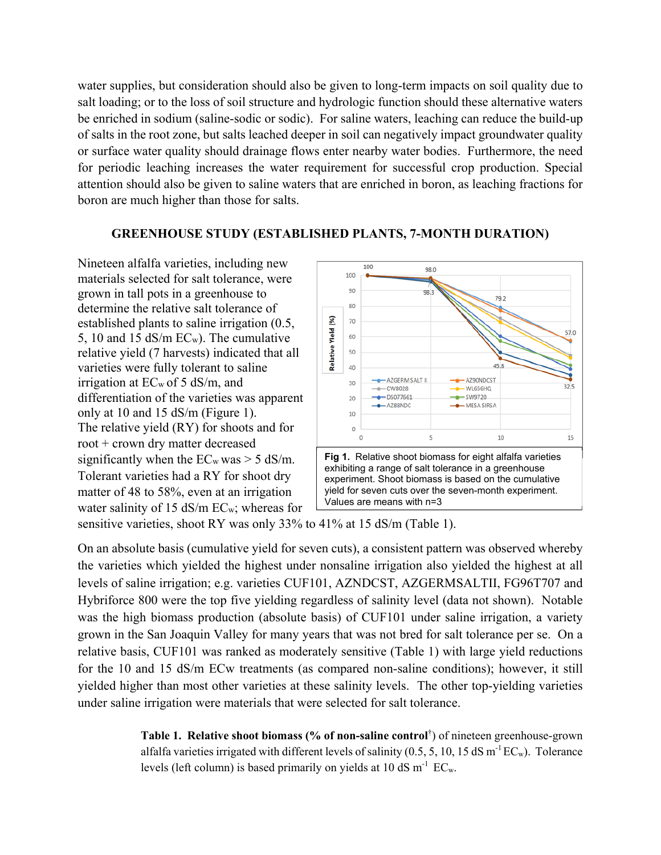water supplies, but consideration should also be given to long-term impacts on soil quality due to salt loading; or to the loss of soil structure and hydrologic function should these alternative waters be enriched in sodium (saline-sodic or sodic). For saline waters, leaching can reduce the build-up of salts in the root zone, but salts leached deeper in soil can negatively impact groundwater quality or surface water quality should drainage flows enter nearby water bodies. Furthermore, the need for periodic leaching increases the water requirement for successful crop production. Special attention should also be given to saline waters that are enriched in boron, as leaching fractions for boron are much higher than those for salts.

### **GREENHOUSE STUDY (ESTABLISHED PLANTS, 7-MONTH DURATION)**

Nineteen alfalfa varieties, including new materials selected for salt tolerance, were grown in tall pots in a greenhouse to determine the relative salt tolerance of established plants to saline irrigation (0.5, 5, 10 and 15 dS/m ECw). The cumulative relative yield (7 harvests) indicated that all varieties were fully tolerant to saline irrigation at ECw of 5 dS/m, and differentiation of the varieties was apparent only at 10 and 15 dS/m (Figure 1). The relative yield (RY) for shoots and for root + crown dry matter decreased significantly when the  $EC_w$  was  $> 5$  dS/m. Tolerant varieties had a RY for shoot dry matter of 48 to 58%, even at an irrigation water salinity of 15 dS/m EC<sub>w</sub>; whereas for



sensitive varieties, shoot RY was only 33% to 41% at 15 dS/m (Table 1).

On an absolute basis (cumulative yield for seven cuts), a consistent pattern was observed whereby the varieties which yielded the highest under nonsaline irrigation also yielded the highest at all levels of saline irrigation; e.g. varieties CUF101, AZNDCST, AZGERMSALTII, FG96T707 and Hybriforce 800 were the top five yielding regardless of salinity level (data not shown). Notable was the high biomass production (absolute basis) of CUF101 under saline irrigation, a variety grown in the San Joaquin Valley for many years that was not bred for salt tolerance per se. On a relative basis, CUF101 was ranked as moderately sensitive (Table 1) with large yield reductions for the 10 and 15 dS/m ECw treatments (as compared non-saline conditions); however, it still yielded higher than most other varieties at these salinity levels. The other top-yielding varieties under saline irrigation were materials that were selected for salt tolerance.

> **Table 1. Relative shoot biomass (% of non-saline control**† ) of nineteen greenhouse-grown alfalfa varieties irrigated with different levels of salinity (0.5, 5, 10, 15 dS m<sup>-1</sup> EC<sub>w</sub>). Tolerance levels (left column) is based primarily on yields at 10 dS  $m^{-1}$  EC<sub>w</sub>.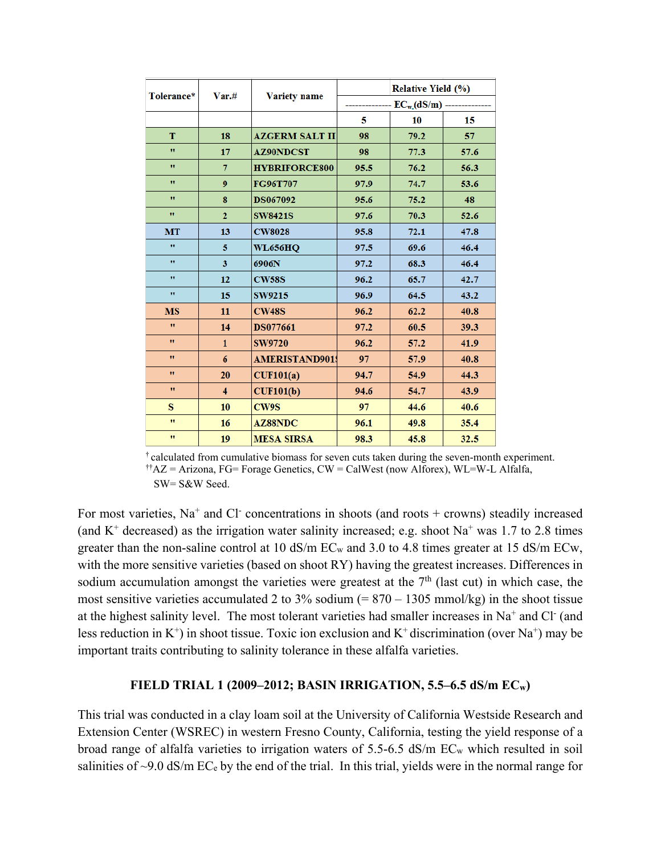| Tolerance*   | Var.#                   |                       | <b>Relative Yield (%)</b> |      |      |  |  |
|--------------|-------------------------|-----------------------|---------------------------|------|------|--|--|
|              |                         | <b>Variety name</b>   | $EC_{w}(dS/m)$            |      |      |  |  |
|              |                         |                       | 5                         | 10   | 15   |  |  |
| T            | 18                      | <b>AZGERM SALT II</b> | 98                        | 79.2 | 57   |  |  |
| $\mathbf{H}$ | 17                      | <b>AZ90NDCST</b>      | 98                        | 77.3 | 57.6 |  |  |
| $\mathbf{H}$ | $\overline{7}$          | <b>HYBRIFORCE800</b>  | 95.5                      | 76.2 | 56.3 |  |  |
| $\mathbf{H}$ | $\boldsymbol{9}$        | FG96T707              | 97.9                      | 74.7 | 53.6 |  |  |
| Ħ            | 8                       | <b>DS067092</b>       | 95.6                      | 75.2 | 48   |  |  |
| $\mathbf{H}$ | $\overline{2}$          | <b>SW8421S</b>        | 97.6                      | 70.3 | 52.6 |  |  |
| MT           | 13                      | <b>CW8028</b>         | 95.8                      | 72.1 | 47.8 |  |  |
| $\mathbf{H}$ | 5                       | <b>WL656HQ</b>        | 97.5                      | 69.6 | 46.4 |  |  |
| $\pmb{\pi}$  | 3                       | 6906N                 | 97.2                      | 68.3 | 46.4 |  |  |
| $\mathbf{H}$ | 12                      | <b>CW58S</b>          | 96.2                      | 65.7 | 42.7 |  |  |
| $\pmb{\pi}$  | 15                      | <b>SW9215</b>         | 96.9                      | 64.5 | 43.2 |  |  |
| <b>MS</b>    | 11                      | <b>CW48S</b>          | 96.2                      | 62.2 | 40.8 |  |  |
| $\mathbf{H}$ | 14                      | <b>DS077661</b>       | 97.2                      | 60.5 | 39.3 |  |  |
| Ħ            | $\mathbf{1}$            | <b>SW9720</b>         | 96.2                      | 57.2 | 41.9 |  |  |
| $\mathbf{H}$ | 6                       | <b>AMERISTAND901</b>  | 97                        | 57.9 | 40.8 |  |  |
| $\mathbf{H}$ | 20                      | CUF101(a)             | 94.7                      | 54.9 | 44.3 |  |  |
| Ħ            | $\overline{\mathbf{4}}$ | CUF101(b)             | 94.6                      | 54.7 | 43.9 |  |  |
| s            | 10                      | CW9S                  | 97                        | 44.6 | 40.6 |  |  |
| Ħ            | 16                      | <b>AZ88NDC</b>        | 96.1                      | 49.8 | 35.4 |  |  |
| $\pmb{\pi}$  | 19                      | <b>MESA SIRSA</b>     | 98.3                      | 45.8 | 32.5 |  |  |

† calculated from cumulative biomass for seven cuts taken during the seven-month experiment. ††AZ = Arizona, FG= Forage Genetics, CW = CalWest (now Alforex), WL=W-L Alfalfa, SW= S&W Seed.

For most varieties,  $Na<sup>+</sup>$  and Cl<sup>-</sup> concentrations in shoots (and roots + crowns) steadily increased (and  $K^+$  decreased) as the irrigation water salinity increased; e.g. shoot Na<sup>+</sup> was 1.7 to 2.8 times greater than the non-saline control at 10 dS/m ECw and 3.0 to 4.8 times greater at 15 dS/m ECw, with the more sensitive varieties (based on shoot RY) having the greatest increases. Differences in sodium accumulation amongst the varieties were greatest at the  $7<sup>th</sup>$  (last cut) in which case, the most sensitive varieties accumulated 2 to 3% sodium  $(= 870 - 1305 \text{ mmol/kg})$  in the shoot tissue at the highest salinity level. The most tolerant varieties had smaller increases in Na<sup>+</sup> and Cl (and less reduction in  $K^+$ ) in shoot tissue. Toxic ion exclusion and  $K^+$  discrimination (over Na<sup>+</sup>) may be important traits contributing to salinity tolerance in these alfalfa varieties.

#### **FIELD TRIAL 1 (2009–2012; BASIN IRRIGATION, 5.5–6.5 dS/m ECw)**

This trial was conducted in a clay loam soil at the University of California Westside Research and Extension Center (WSREC) in western Fresno County, California, testing the yield response of a broad range of alfalfa varieties to irrigation waters of 5.5-6.5 dS/m ECw which resulted in soil salinities of  $\sim$ 9.0 dS/m EC<sub>e</sub> by the end of the trial. In this trial, yields were in the normal range for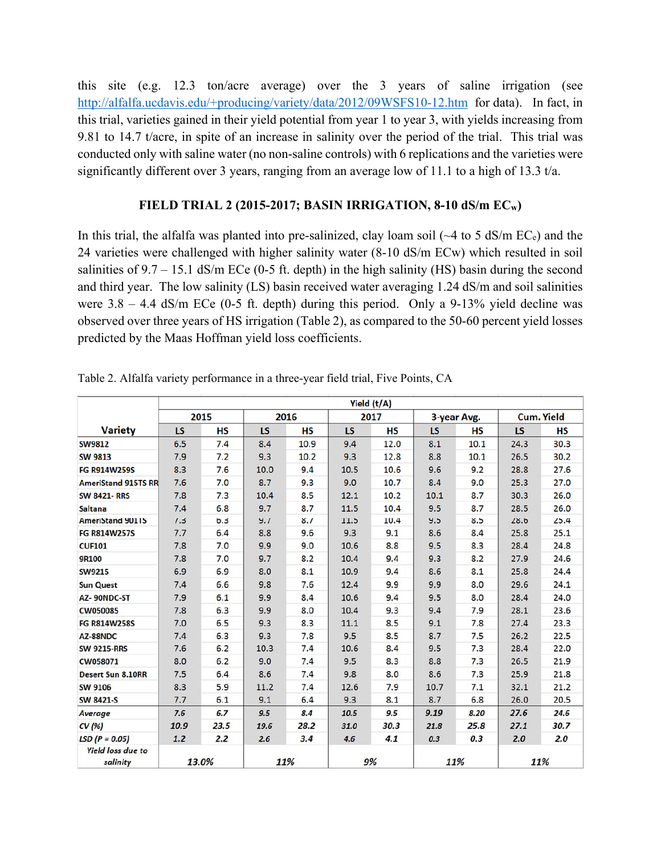this site (e.g. 12.3 ton/acre average) over the 3 years of saline irrigation (see http://alfalfa.ucdavis.edu/+producing/variety/data/2012/09WSFS10-12.htm for data). In fact, in this trial, varieties gained in their yield potential from year 1 to year 3, with yields increasing from 9.81 to 14.7 t/acre, in spite of an increase in salinity over the period of the trial. This trial was conducted only with saline water (no non-saline controls) with 6 replications and the varieties were significantly different over 3 years, ranging from an average low of 11.1 to a high of 13.3 t/a.

## **FIELD TRIAL 2 (2015-2017; BASIN IRRIGATION, 8-10 dS/m ECw)**

In this trial, the alfalfa was planted into pre-salinized, clay loam soil  $\sim$  4 to 5 dS/m EC<sub>e</sub>) and the 24 varieties were challenged with higher salinity water (8-10 dS/m ECw) which resulted in soil salinities of  $9.7 - 15.1$  dS/m ECe (0-5 ft. depth) in the high salinity (HS) basin during the second and third year. The low salinity (LS) basin received water averaging 1.24 dS/m and soil salinities were  $3.8 - 4.4$  dS/m ECe (0-5 ft. depth) during this period. Only a 9-13% yield decline was observed over three years of HS irrigation (Table 2), as compared to the 50-60 percent yield losses predicted by the Maas Hoffman yield loss coefficients.

|                                      | Yield (t/A) |           |           |           |           |           |             |           |                   |           |  |
|--------------------------------------|-------------|-----------|-----------|-----------|-----------|-----------|-------------|-----------|-------------------|-----------|--|
|                                      | 2015        |           | 2016      |           | 2017      |           | 3-year Avg. |           | <b>Cum. Yield</b> |           |  |
| <b>Variety</b>                       | <b>LS</b>   | <b>HS</b> | <b>LS</b> | <b>HS</b> | <b>LS</b> | <b>HS</b> | <b>LS</b>   | <b>HS</b> | <b>LS</b>         | <b>HS</b> |  |
| <b>SW9812</b>                        | 6.5         | 7.4       | 8.4       | 10.9      | 9.4       | 12.0      | 8.1         | 10.1      | 24.3              | 30.3      |  |
| <b>SW 9813</b>                       | 7.9         | 7.2       | 9.3       | 10.2      | 9.3       | 12.8      | 8.8         | 10.1      | 26.5              | 30.2      |  |
| <b>FG R914W259S</b>                  | 8.3         | 7.6       | 10.0      | 9.4       | 10.5      | 10.6      | 9.6         | 9.2       | 28.8              | 27.6      |  |
| <b>AmeriStand 915TS RR</b>           | 7.6         | 7.0       | 8.7       | 9.3       | 9.0       | 10.7      | 8.4         | 9.0       | 25.3              | 27.0      |  |
| <b>SW 8421-RRS</b>                   | 7.8         | 7.3       | 10.4      | 8.5       | 12.1      | 10.2      | 10.1        | 8.7       | 30.3              | 26.0      |  |
| <b>Saltana</b>                       | 7.4         | 6.8       | 9.7       | 8.7       | 11.5      | 10.4      | 9.5         | 8.7       | 28.5              | 26.0      |  |
| <b>AmeriStand 901TS</b>              | 7.3         | 6.3       | 9.7       | 8.7       | 11.5      | 10.4      | 9.5         | 8.5       | 28.6              | 25.4      |  |
| <b>FG R814W257S</b>                  | 7.7         | 6.4       | 8.8       | 9.6       | 9.3       | 9.1       | 8.6         | 8.4       | 25.8              | 25.1      |  |
| <b>CUF101</b>                        | 7.8         | 7.0       | 9.9       | 9.0       | 10.6      | 8.8       | 9.5         | 8.3       | 28.4              | 24.8      |  |
| 9R100                                | 7.8         | 7.0       | 9.7       | 8.2       | 10.4      | 9.4       | 9.3         | 8.2       | 27.9              | 24.6      |  |
| <b>SW9215</b>                        | 6.9         | 6.9       | 8.0       | 8.1       | 10.9      | 9.4       | 8.6         | 8.1       | 25.8              | 24.4      |  |
| <b>Sun Quest</b>                     | 7.4         | 6.6       | 9.8       | 7.6       | 12.4      | 9.9       | 9.9         | 8.0       | 29.6              | 24.1      |  |
| AZ-90NDC-ST                          | 7.9         | 6.1       | 9.9       | 8.4       | 10.6      | 9.4       | 9.5         | 8.0       | 28.4              | 24.0      |  |
| <b>CW050085</b>                      | 7.8         | 6.3       | 9.9       | 8.0       | 10.4      | 9.3       | 9.4         | 7.9       | 28.1              | 23.6      |  |
| <b>FG R814W258S</b>                  | 7.0         | 6.5       | 9.3       | 8.3       | 11.1      | 8.5       | 9.1         | 7.8       | 27.4              | 23.3      |  |
| AZ-88NDC                             | 7.4         | 6.3       | 9.3       | 7.8       | 9.5       | 8.5       | 8.7         | 7.5       | 26.2              | 22.5      |  |
| <b>SW 9215-RRS</b>                   | 7.6         | 6.2       | 10.3      | 7.4       | 10.6      | 8.4       | 9.5         | 7.3       | 28.4              | 22.0      |  |
| CW058071                             | 8.0         | 6.2       | 9.0       | 7.4       | 9.5       | 8.3       | 8.8         | 7.3       | 26.5              | 21.9      |  |
| <b>Desert Sun 8.10RR</b>             | 7.5         | 6.4       | 8.6       | 7.4       | 9.8       | 8.0       | 8.6         | 7.3       | 25.9              | 21.8      |  |
| <b>SW 9106</b>                       | 8.3         | 5.9       | 11.2      | 7.4       | 12.6      | 7.9       | 10.7        | 7.1       | 32.1              | 21.2      |  |
| <b>SW 8421-S</b>                     | 7.7         | 6.1       | 9.1       | 6.4       | 9.3       | 8.1       | 8.7         | 6.8       | 26.0              | 20.5      |  |
| Average                              | 7.6         | 6.7       | 9.5       | 8.4       | 10.5      | 9.5       | 9.19        | 8.20      | 27.6              | 24.6      |  |
| CV(96)                               | 10.9        | 23.5      | 19.6      | 28.2      | 31.0      | 30.3      | 21.8        | 25.8      | 27.1              | 30.7      |  |
| $LSD (P = 0.05)$                     | 1.2         | 2.2       | 2.6       | 3.4       | 4.6       | 4.1       | 0.3         | 0.3       | 2.0               | 2.0       |  |
| <b>Yield loss due to</b><br>salinity | 13.0%       |           | 11%       |           | 9%        |           | 11%         |           | 11%               |           |  |

Table 2. Alfalfa variety performance in a three-year field trial, Five Points, CA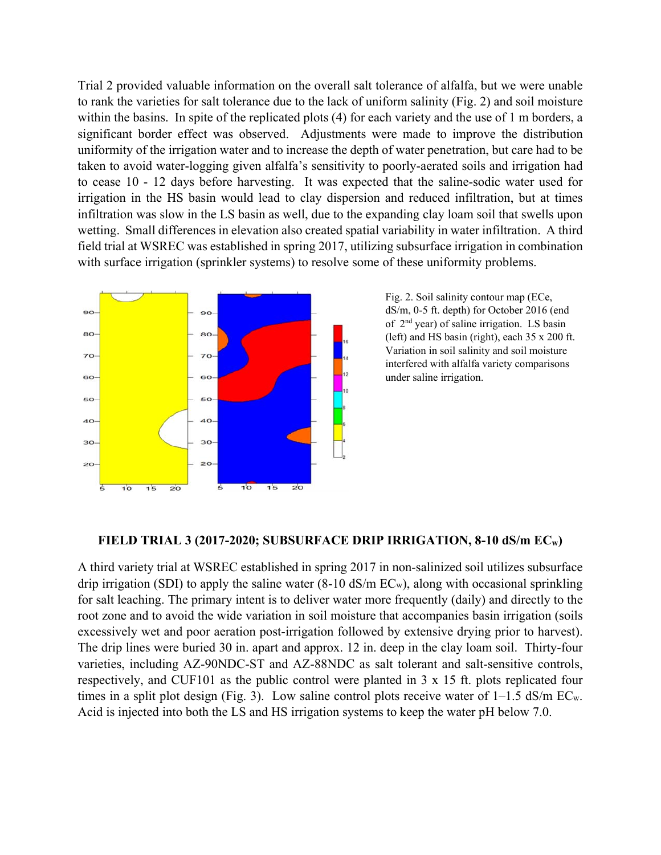Trial 2 provided valuable information on the overall salt tolerance of alfalfa, but we were unable to rank the varieties for salt tolerance due to the lack of uniform salinity (Fig. 2) and soil moisture within the basins. In spite of the replicated plots (4) for each variety and the use of 1 m borders, a significant border effect was observed. Adjustments were made to improve the distribution uniformity of the irrigation water and to increase the depth of water penetration, but care had to be taken to avoid water-logging given alfalfa's sensitivity to poorly-aerated soils and irrigation had to cease 10 - 12 days before harvesting. It was expected that the saline-sodic water used for irrigation in the HS basin would lead to clay dispersion and reduced infiltration, but at times infiltration was slow in the LS basin as well, due to the expanding clay loam soil that swells upon wetting. Small differences in elevation also created spatial variability in water infiltration. A third field trial at WSREC was established in spring 2017, utilizing subsurface irrigation in combination with surface irrigation (sprinkler systems) to resolve some of these uniformity problems.



Fig. 2. Soil salinity contour map (ECe, dS/m, 0-5 ft. depth) for October 2016 (end of 2nd year) of saline irrigation. LS basin (left) and HS basin (right), each 35 x 200 ft. Variation in soil salinity and soil moisture interfered with alfalfa variety comparisons under saline irrigation.

#### **FIELD TRIAL 3 (2017-2020; SUBSURFACE DRIP IRRIGATION, 8-10 dS/m ECw)**

A third variety trial at WSREC established in spring 2017 in non-salinized soil utilizes subsurface drip irrigation (SDI) to apply the saline water  $(8-10 \text{ dS/m EC}_{w})$ , along with occasional sprinkling for salt leaching. The primary intent is to deliver water more frequently (daily) and directly to the root zone and to avoid the wide variation in soil moisture that accompanies basin irrigation (soils excessively wet and poor aeration post-irrigation followed by extensive drying prior to harvest). The drip lines were buried 30 in. apart and approx. 12 in. deep in the clay loam soil. Thirty-four varieties, including AZ-90NDC-ST and AZ-88NDC as salt tolerant and salt-sensitive controls, respectively, and CUF101 as the public control were planted in 3 x 15 ft. plots replicated four times in a split plot design (Fig. 3). Low saline control plots receive water of 1–1.5 dS/m ECw. Acid is injected into both the LS and HS irrigation systems to keep the water pH below 7.0.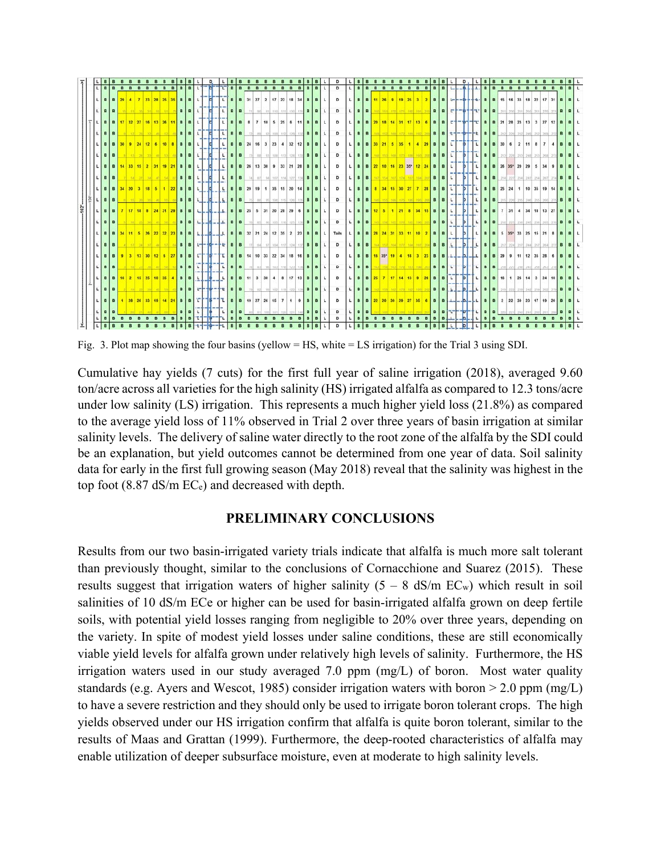

Fig. 3. Plot map showing the four basins (yellow = HS, white = LS irrigation) for the Trial 3 using SDI.

Cumulative hay yields (7 cuts) for the first full year of saline irrigation (2018), averaged 9.60 ton/acre across all varieties for the high salinity (HS) irrigated alfalfa as compared to 12.3 tons/acre under low salinity (LS) irrigation. This represents a much higher yield loss (21.8%) as compared to the average yield loss of 11% observed in Trial 2 over three years of basin irrigation at similar salinity levels. The delivery of saline water directly to the root zone of the alfalfa by the SDI could be an explanation, but yield outcomes cannot be determined from one year of data. Soil salinity data for early in the first full growing season (May 2018) reveal that the salinity was highest in the top foot  $(8.87 \text{ dS/m EC}_e)$  and decreased with depth.

# **PRELIMINARY CONCLUSIONS**

Results from our two basin-irrigated variety trials indicate that alfalfa is much more salt tolerant than previously thought, similar to the conclusions of Cornacchione and Suarez (2015). These results suggest that irrigation waters of higher salinity  $(5 - 8 \text{ dS/m EC}_{w})$  which result in soil salinities of 10 dS/m ECe or higher can be used for basin-irrigated alfalfa grown on deep fertile soils, with potential yield losses ranging from negligible to 20% over three years, depending on the variety. In spite of modest yield losses under saline conditions, these are still economically viable yield levels for alfalfa grown under relatively high levels of salinity. Furthermore, the HS irrigation waters used in our study averaged 7.0 ppm (mg/L) of boron. Most water quality standards (e.g. Ayers and Wescot, 1985) consider irrigation waters with boron > 2.0 ppm (mg/L) to have a severe restriction and they should only be used to irrigate boron tolerant crops. The high yields observed under our HS irrigation confirm that alfalfa is quite boron tolerant, similar to the results of Maas and Grattan (1999). Furthermore, the deep-rooted characteristics of alfalfa may enable utilization of deeper subsurface moisture, even at moderate to high salinity levels.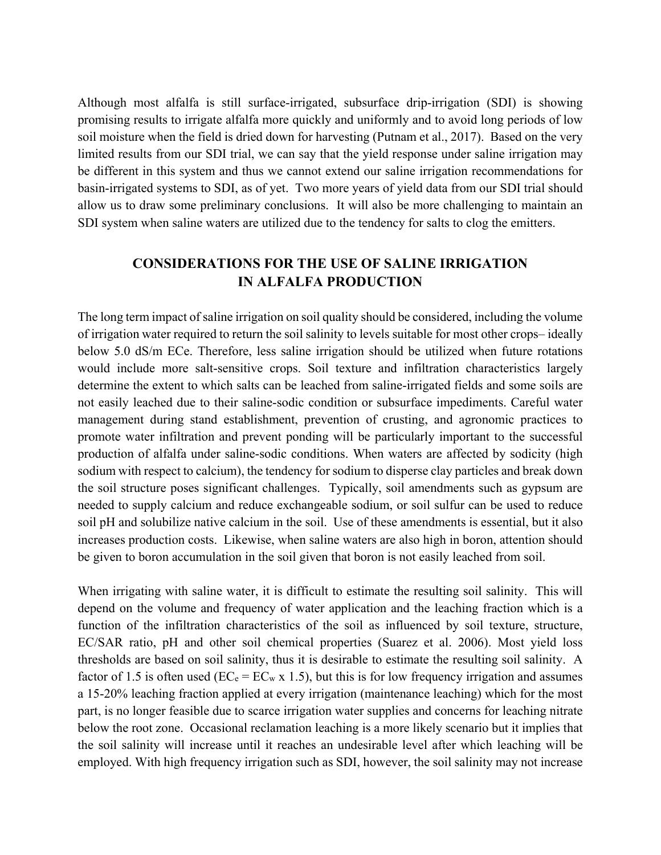Although most alfalfa is still surface-irrigated, subsurface drip-irrigation (SDI) is showing promising results to irrigate alfalfa more quickly and uniformly and to avoid long periods of low soil moisture when the field is dried down for harvesting (Putnam et al., 2017). Based on the very limited results from our SDI trial, we can say that the yield response under saline irrigation may be different in this system and thus we cannot extend our saline irrigation recommendations for basin-irrigated systems to SDI, as of yet. Two more years of yield data from our SDI trial should allow us to draw some preliminary conclusions. It will also be more challenging to maintain an SDI system when saline waters are utilized due to the tendency for salts to clog the emitters.

# **CONSIDERATIONS FOR THE USE OF SALINE IRRIGATION IN ALFALFA PRODUCTION**

The long term impact of saline irrigation on soil quality should be considered, including the volume of irrigation water required to return the soil salinity to levels suitable for most other crops– ideally below 5.0 dS/m ECe. Therefore, less saline irrigation should be utilized when future rotations would include more salt-sensitive crops. Soil texture and infiltration characteristics largely determine the extent to which salts can be leached from saline-irrigated fields and some soils are not easily leached due to their saline-sodic condition or subsurface impediments. Careful water management during stand establishment, prevention of crusting, and agronomic practices to promote water infiltration and prevent ponding will be particularly important to the successful production of alfalfa under saline-sodic conditions. When waters are affected by sodicity (high sodium with respect to calcium), the tendency for sodium to disperse clay particles and break down the soil structure poses significant challenges. Typically, soil amendments such as gypsum are needed to supply calcium and reduce exchangeable sodium, or soil sulfur can be used to reduce soil pH and solubilize native calcium in the soil. Use of these amendments is essential, but it also increases production costs. Likewise, when saline waters are also high in boron, attention should be given to boron accumulation in the soil given that boron is not easily leached from soil.

When irrigating with saline water, it is difficult to estimate the resulting soil salinity. This will depend on the volume and frequency of water application and the leaching fraction which is a function of the infiltration characteristics of the soil as influenced by soil texture, structure, EC/SAR ratio, pH and other soil chemical properties (Suarez et al. 2006). Most yield loss thresholds are based on soil salinity, thus it is desirable to estimate the resulting soil salinity. A factor of 1.5 is often used ( $EC_e = EC_w \times 1.5$ ), but this is for low frequency irrigation and assumes a 15-20% leaching fraction applied at every irrigation (maintenance leaching) which for the most part, is no longer feasible due to scarce irrigation water supplies and concerns for leaching nitrate below the root zone. Occasional reclamation leaching is a more likely scenario but it implies that the soil salinity will increase until it reaches an undesirable level after which leaching will be employed. With high frequency irrigation such as SDI, however, the soil salinity may not increase